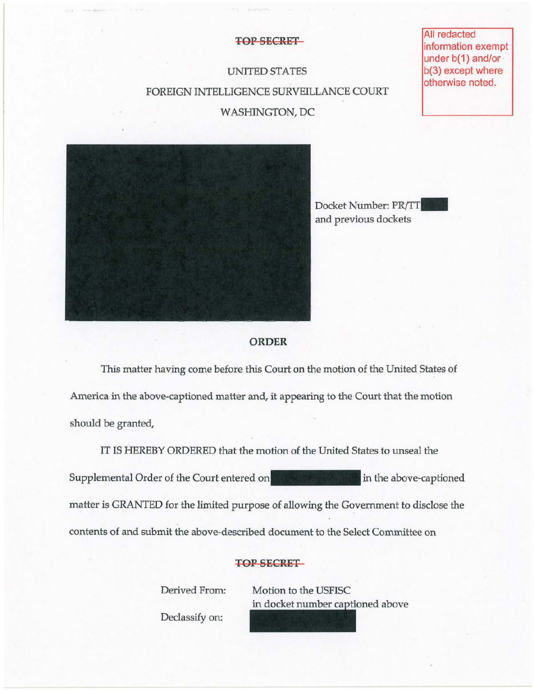#### **TOP SECRET**

# UNITED STATES FOREIGN INTELLIGENCE SURVEILLANCE COURT WASHINGTON, DC

**All redacted** information exempt under b(1) and/or b(3) except where otherwise noted.



Docket Number: PR/TT and previous dockets



### **ORDER**

This matter having come before this Court on the motion of the United States of America in the above-captioned matter and, it appearing to the Court that the motion should be granted,

IT IS HEREBY ORDERED that the motion of the United States to unseal the Supplemental Order of the Court entered on **the state of the above-captioned** matter is GRANTED for the limited purpose of allowing the Government to disclose the contents of and submit the above-described document to the Select Committee on

## TOP SECRET

Derived From: Motion to the USFISC in docket number captioned above

Declassify on: